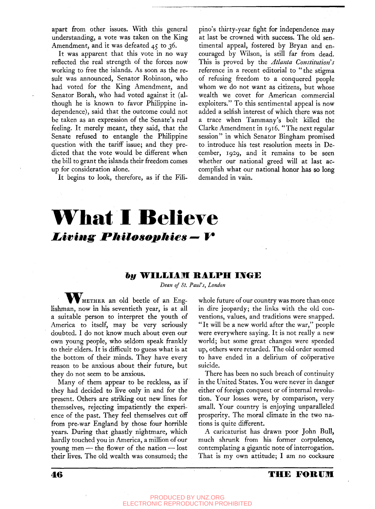apart from other issues. With this general understanding, a vote was taken on the King Amendment, and it was defeated  $45$  to  $36$ .

It was apparent that this vote in no way reflected the real strength of the forces now working to free the islands. As soon as the result was announced, Senator Robinson, who had voted for the King Amendment, and Senator Borah, who had voted against it (although he is known to favor Philippine independence), said that the outcome could not be taken as an expression of the Senate's real feeling. It merely meant, they said, that the Senate refused to entangle the Philippine question with the tariff issue; and they predicted that the vote would be different when the bill to grant the islands their freedom comes up for consideration alone.

It begins to look, therefore, as if the Fili-

pino's thirty-year fight for independence may at last be crowned with success. The old sentimental appeal, fostered by Bryan and encouraged by Wilson, is still far from dead. This is proved by the *Atlanta Constitution s*  reference in a recent editorial to "the stigma of refusing freedom to a conquered people whom we do not want as citizens, but whose wealth we covet for American commercial exploiters." To this sentimental appeal is now added a selfish interest of which there was not a trace when Tammany's bolt killed the Clarke Amendment in 1916. "The next regular session" in which Senator Bingham promised to introduce his test resolution meets in December, 1929, and it remains to be seen whether our national greed will at last accomplish what our national honor has so long demanded in vain.

# **What I Believe** Living Philosophies — V

### *hy* **WILLIAM RAI^PH IJVOE**

*Dean of St. Paul's, London* 

WHETHER an old beetle of an Englishman, now in his seventieth year, is at all a suitable person to interpret the youth of America to itself, may be very seriously doubted. I do not know much about even our own young people, who seldom speak frankly to their elders. It is difficult to guess what is at the bottom of their minds. They have every reason to be anxious about their future, but they do not seem to be anxious.

they had decided to live only in and for the either of foreign conquest or of internal revolupresent. Others are striking out new lines for tion. Your losses were, by comparison, very themselves, rejecting impatiently the experi- small. Your country is enjoying unparalleled ence of the past. They feel themselves cut off prosperity. The moral climate in the two nafrom pre-war England by those four horrible tions is quite different. years. During that ghastly nightmare, which hardly touched you in America, a million of our young men — the flower of the nation — lost their lives. The old wealth was consumed; the

whole future of our country was more than once in dire jeopardy; the links with the old conventions, values, and traditions were snapped. " It will be a new world after the war," people were everywhere saying. It is not really a new world; but some great changes were speeded up, others were retarded. The old order seemed to have ended in a delirium of cooperative suicide.

There has been no such breach of continuity Many of them appear to be reckless, as if in the United States. You were never in danger

> A caricaturist has drawn poor John Bull, much shrunk from his former corpulence, contemplating a gigantic note of interrogation. That is my own attitude; I am no cocksure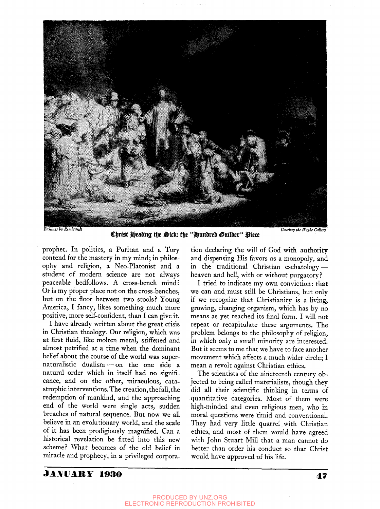

Christ Healing the Sick: the "Hundred Guilder" Piece

prophet. In politics, a Puritan and a Tory contend for the mastery in my mind; in philosophy and religion, a Neo-Platonist and a student of modern science are not always peaceable bedfollows. A cross-bench mind? Or is my proper place not on the cross-benches, but on the floor between two stools? Young America, I fancy, likes something much more positive, more self-confident, than I can give it.

I have already written about the great crisis in Christian theology. Our religion, which was at first fluid, like molten metal, stiffened and almost petrified at a time when the dominant belief about the course of the world was supernaturalistic dualism — on the one side a natural order which in itself had no significance, and on the other, miraculous, catastrophic interventions. The creation, the fall, the redemption of mankind, and the approaching end of the world were single acts, sudden breaches of natural sequence. But now we all believe in an evolutionary world, and the scale of it has been prodigiously magnified. Can a historical revelation be fitted into this new scheme? What becomes of the old belief in miracle and prophecy, in a privileged corporation declaring the will of God with authority and dispensing His favors as a monopoly, and in the traditional Christian eschatology heaven and hell, with or without purgatory?

I tried to indicate my own conviction: that we can and must still be Christians, but only if we recognize that Christianity is a living, growing, changing organism, which has by no means as yet reached its final form. I will not repeat or recapitulate these arguments. The problem belongs to the philosophy of religion, in which only a small minority are interested. But it seems to me that we have to face another movement which affects a much wider circle; I mean a revolt against Christian ethics.

The scientists of the nineteenth century objected to being called materialists, though they did all their scientific thinking in terms of quantitative categories. Most of them were high-minded and even religious men, who in moral questions were timid and conventional. They had very little quarrel with Christian ethics, and most of them would have agreed with John Stuart Mill that a man cannot do better than order his conduct so that Christ would have approved of his life.

## JA]¥UARY 1930 **47**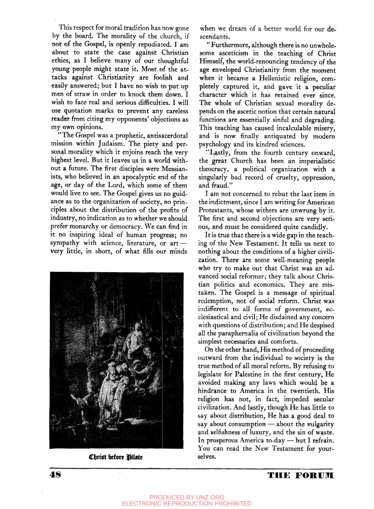This respect for moral tradition has now gone by the board. The morality of the chureh, if not of the Gospel, is openly repudiated.  $\Gamma$  am about to state the case against Christian ethics, as I believe many of our thoughtful young people might state it. Most of the attacks against Christianity are foolish and easily answered; but I have no wish to put up men of straw in order to knock them down. I wish to face real and serious difficulties. I will use quotation marks to prevent any careless reader from citing my opponents' objections as my own opinions.

"The Gospel was a prophetic, antisacerdotal mission within Judaism. The piety and personal morality which it enjoins reach the very highest level. But it leaves us in a world without a future. The first disciples were Messianists, who believed in an apocalyptic end of the age, or day of the Lord, which some of them would live to see. The Gospel gives us no guidance as to the organization of society, no principles about the distribution of the profits of industry, no indication as to whether *we* should prefer monarchy or democracy. We can find in it no inspiring ideal of human progress; no sympathy with science, literature, or art very little, in short, of what fills our minds



**Christ before Pilate** 

when we dream of a better world for our descendants.

" Furthermore, although there is no unwholesome asceticism in the teaching of Christ Himself, the world-renouncing tendency of the age enveloped Christianity from the moment when it became a Hellenistic religion, completely captured it, and gave it a peculiar character which it has retained ever since. The whole of Christian sexual morality depends on the ascetic notion that certain natural functions are essentially sinful and degrading. This teaching has caused incalculable misery, and is now finally antiquated by modern psychology and its kindred sciences.

"Lastly, from the fourth century onward, the ^great Church has been an imperialistic theocracy, a political organization with a singularly bad record of cruelty, oppression, and fraud."

I am not concerned to rebut the last item in the indictment, since I am writing for American Protestants, whose withers are unwrung by it. The first and second objections are very serious, and must be considered quite candidly.

It is true that there is a wide gap in the teaching of the New Testament. It tells us next to nothing about the conditions of a higher civilization, There are some well-meaning people who try to make out that Christ was an advanced social reformer; they talk about Christian politics and economics. They are mistaken. The Gospel is a message of spiritual redemption, not of social reform. Christ was indifferent to all forms of government, ecclesiastical and civil; He disdained any concern with questions of distribution; and He despised all the paraphernalia of civilization beyond the simplest necessaries and comforts.

On the other hand. His method of proceeding outward from the individual to society is the true method of all moral reform. By refusing to legislate for Palestine in the first century. He avoided making any laws which would be a hindrance to America in the twentieth. His religion has not, in fact, impeded secular civilization. And lastly, though He has little to say about distribution, He has a good deal to say about consumption  $=$  about the vulgarity and selfishness of luxury, and the sin of waste. In prosperous America to-day — but I refrain. You can read the New Testament for yourselves.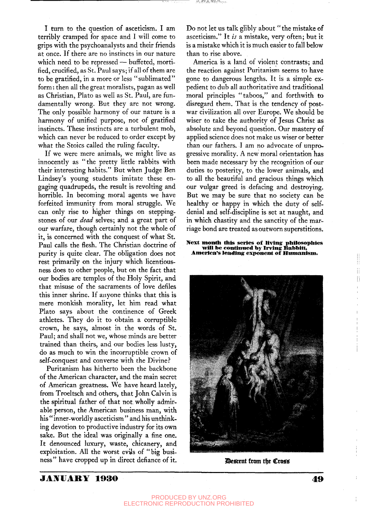I turn to the question of asceticism. I am terribly cramped for space and I will come to grips with the psychoanalysts and their friends at once. If there are no instincts in our nature which need to be repressed — buffeted, mortified, crucified, as St. Paul says; If all of them are to be gratified, in a more or less "sublimated" form: then all the great moralists, pagan as well as Christian, Plato as well as St. Paul, are fundamentally wrong. But they are not wrong. The only possible harmony of our nature is a harmony of unified purpose, not of gratified instincts. These instincts are a turbulent mob, which can never be reduced to order except by what the Stoics called the ruling faculty.

If we were mere animals, we might live as innocently as "the pretty little rabbits with their interesting habits." But when Judge Ben Lindsey's young students imitate these engaging quadrupeds, the result is revolting and horrible. In becoming moral agents we have forfeited immunity from moral struggle. We can only rise to higher things on steppingstones of our *dead* selves; and a great part of our warfare, though certainly not the whole of it, is concerned with the conquest of what St. Paul calls the flesh. The Christian doctrine of purity is quite clear. The obligation does not rest primarily on the injury which licentiousness does to other people, but on the fact that our bodies are temples of the Holy Spirit, and that misuse of the sacraments of love defiles this inner shrine. If anyone thinks that this is mere monkish morality, let him read what Plato says about the continence of Greek athletes. They do it to obtain a corruptible crown, he says, almost in the words of St. Paul; and shall not we, whose minds are better trained than theirs, and our bodies less lusty, do as much to win the incorruptible crown of self-conquest and converse with the Divine?

Puritanism has hitherto been the backbone of the American character, and the main secret of American greatness. We have heard lately, from Troeltsch and others, that John Calvin is the spiritual father of that not wholly admirable person, the American business man, with his " inner-worldly asceticism " and his unthinking devotion to productive industry for its own sake. But the ideal was originally a fine one. It denounced luxury, waste, chicanery, and exploitation. All the worst evils of "big business" have cropped up in direct defiance of it.

Do not let us talk glibly about " the mistake of asceticism." It *is* a mistake, very often; but it is a mistake which it is much easier to fall below than to rise above.

35, EF 25, TOM

America is a land of violent contrasts; and the reaction against Puritanism seems to have gone to dangerous lengths. It is a simple expedient to dub all authoritative and traditional moral principles "taboos," and forthwith to disregard them. That is the tendency of postwar civilization all over Europe. We should be wiser to take the authority of Jesus Christ as absolute and beyond question. Our mastery of applied science does not make us wiser or better than our fathers. I am no advocate of unprogressive morality. A new moral orientation has been made necessary by the recognition of our duties to posterity, to the lower animals, and to all the beautiful and gracious things which our vulgar greed is defacing and destroying. But we may be sure that no society can be healthy or happy in which the duty of selfdenial and self-discipline is set at naught, and in which chastity and the sanctity of the marriage bond are treated as outworn superstitions.

#### **Next month this series of llviiig philosophies wlU he continued by Irving Bahhltt, America's leading exponent o£ Humanism.**



*Descent from the Cross* 

### **JA]¥IIAR Y 193 0 4 9**

ï  $\vert \vert$